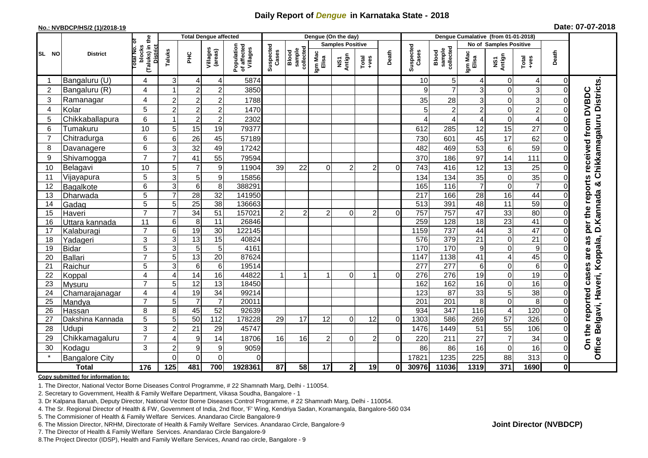## **Daily Report of** *Dengue* **in Karnataka State - 2018**

#### **No.: NVBDCP/HS/2 (1)/2018-19**

|                | <b>District</b>       |                                                             | <b>Total Dengue affected</b> |                      |                      |                                       |                    |                                     |                  | Dengue (On the day)     |                |              |                    |                              |                      |                        |                   |              |                                                 |
|----------------|-----------------------|-------------------------------------------------------------|------------------------------|----------------------|----------------------|---------------------------------------|--------------------|-------------------------------------|------------------|-------------------------|----------------|--------------|--------------------|------------------------------|----------------------|------------------------|-------------------|--------------|-------------------------------------------------|
|                |                       |                                                             |                              |                      |                      |                                       |                    |                                     |                  | <b>Samples Positive</b> |                |              |                    |                              |                      | No of Samples Positive |                   | Death        |                                                 |
| SL NO          |                       | (Taluks) in the<br>otal No. of<br>blocks<br><b>District</b> | Taluks                       | PНC                  | Villages<br>(areas)  | Population<br>of affected<br>Villages | Suspected<br>Cases | collected<br>sample<br><b>Blood</b> | Igm Mac<br>Elisa | NS1<br>Antign           | Total<br>+ves  | Death        | Suspected<br>Cases | collected<br>sample<br>Blood | Igm Mac<br>Elisa     | NS1<br>Antign          | Total<br>$-ves$   |              |                                                 |
|                | Bangaluru (U)         | 4                                                           | 3                            | 4                    | 4                    | 5874                                  |                    |                                     |                  |                         |                |              | 10                 | 5                            | 4                    | $\overline{0}$         | 4                 | 0            |                                                 |
| 2              | Bangaluru (R)         | 4                                                           |                              | $\overline{2}$       | $\overline{2}$       | 3850                                  |                    |                                     |                  |                         |                |              | 9                  | $\overline{7}$               | 3                    | $\Omega$               | 3                 | U            |                                                 |
| 3              | Ramanagar             | 4                                                           | $\overline{2}$               | $\overline{c}$       | $\overline{2}$       | 1788                                  |                    |                                     |                  |                         |                |              | 35                 | 28                           | 3                    | $\Omega$               | 3                 |              | Chikkamagaluru Districts<br>received from DVBDC |
| $\overline{4}$ | Kolar                 | 5                                                           | $\overline{2}$               | $\overline{c}$       | $\overline{2}$       | 1470                                  |                    |                                     |                  |                         |                |              | 5                  | $\overline{2}$               | $\overline{2}$       | $\Omega$               | $\overline{2}$    |              |                                                 |
| 5              | Chikkaballapura       | 6                                                           |                              | $\overline{c}$       | $\overline{2}$       | 2302                                  |                    |                                     |                  |                         |                |              | 4                  | 4                            | 4                    | $\Omega$               | 4                 |              |                                                 |
| 6              | Tumakuru              | 10                                                          | 5                            | 15                   | 19                   | 79377                                 |                    |                                     |                  |                         |                |              | 612                | 285                          | 12                   | 15                     | 27                |              |                                                 |
| $\overline{7}$ | Chitradurga           | 6                                                           | 6                            | 26                   | 45                   | 57189                                 |                    |                                     |                  |                         |                |              | 730                | 601                          | 45                   | 17                     | 62                |              |                                                 |
| 8              | Davanagere            | 6                                                           | 3                            | 32                   | 49                   | 17242                                 |                    |                                     |                  |                         |                |              | 482                | 469                          | 53                   | 6                      | 59                |              |                                                 |
| 9              | Shivamogga            | $\overline{7}$                                              | 7                            | 41                   | 55                   | 79594                                 |                    |                                     |                  |                         |                |              | 370                | 186                          | 97                   | 14                     | 111               |              |                                                 |
| 10             | Belagavi              | 10                                                          | 5                            |                      | $\boldsymbol{9}$     | 11904                                 | 39                 | 22                                  | $\Omega$         | $\overline{c}$          | $\overline{c}$ | $\Omega$     | 743                | 416                          | 12                   | 13                     | 25                |              |                                                 |
| 11             | Vijayapura            | 5                                                           | 3                            | 5                    | 9                    | 15856                                 |                    |                                     |                  |                         |                |              | 134                | 134                          | 35                   | $\Omega$               | 35                |              | ဖာ                                              |
| 12             | Bagalkote             | 6                                                           | 3                            | 6                    | 8                    | 388291                                |                    |                                     |                  |                         |                |              | 165                | 116                          | $\overline{7}$       | $\mathbf 0$            | $\overline{7}$    |              |                                                 |
| 13             | Dharwada              | $\overline{5}$                                              | $\overline{7}$               | 28                   | 32                   | 141950                                |                    |                                     |                  |                         |                |              | 217                | 166                          | 28                   | 16                     | 44                |              | report                                          |
| 14             | Gadag                 | 5                                                           | 5                            | 25                   | 38                   | 136663                                |                    |                                     |                  |                         |                |              | $\overline{513}$   | 391                          | 48                   | $\overline{11}$        | 59                |              |                                                 |
| 15             | Haveri                | $\overline{7}$                                              | 7                            | 34                   | 51                   | 157021                                | $\overline{c}$     | $\overline{c}$                      | $\overline{2}$   | $\Omega$                | 2              | $\Omega$     | 757                | 757                          | $\overline{47}$      | 33                     | 80                |              | per the                                         |
| 16             | Uttara kannada        | 11                                                          | 6                            | 8                    | 11                   | 26846                                 |                    |                                     |                  |                         |                |              | 259                | 128                          | $\overline{18}$      | 23                     | 41                | 0            |                                                 |
| 17             | Kalaburagi            | $\overline{7}$                                              | 6                            | 19                   | 30                   | 122145                                |                    |                                     |                  |                         |                |              | 1159               | 737                          | 44                   | 3                      | 47                | 0            |                                                 |
| 18             | Yadageri              | 3                                                           | 3                            | 13                   | 15                   | 40824                                 |                    |                                     |                  |                         |                |              | 576                | 379                          | $\overline{21}$      | $\overline{0}$         | $\overline{21}$   | 0            | as                                              |
| 19             | <b>Bidar</b>          | 5<br>$\overline{7}$                                         | 3                            | 5                    | 5<br>$\overline{20}$ | 4161<br>87624                         |                    |                                     |                  |                         |                |              | 170<br>1147        | 170                          | 9<br>$\overline{41}$ | $\Omega$<br>4          | $\mathsf g$<br>45 |              | are                                             |
| 20<br>21       | Ballari               | 5                                                           | 5<br>3                       | $\overline{13}$<br>6 | $6\phantom{1}6$      | 19514                                 |                    |                                     |                  |                         |                |              | 277                | 1138<br>277                  | 6                    | $\Omega$               | $6\phantom{1}6$   |              |                                                 |
| 22             | Raichur<br>Koppal     | 4                                                           | $\overline{4}$               | 14                   | 16                   | 44822                                 | $\mathbf{1}$       | $\mathbf{1}$                        |                  | $\Omega$                |                | $\Omega$     | 276                | 276                          | 19                   | $\Omega$               | 19                |              |                                                 |
| 23             | Mysuru                | $\overline{7}$                                              | 5                            | $\overline{12}$      | $\overline{13}$      | 18450                                 |                    |                                     |                  |                         |                |              | 162                | 162                          | 16                   | $\overline{0}$         | 16                |              | cases                                           |
| 24             | Chamarajanagar        | 4                                                           | $\boldsymbol{\Delta}$        | 19                   | 34                   | 99214                                 |                    |                                     |                  |                         |                |              | 123                | $\overline{87}$              | 33                   | 5 <sub>1</sub>         | $\overline{38}$   |              |                                                 |
| 25             | Mandya                | $\overline{7}$                                              | 5                            | $\overline{7}$       | $\overline{7}$       | 20011                                 |                    |                                     |                  |                         |                |              | 201                | 201                          | 8                    | $\Omega$               | 8                 |              |                                                 |
| 26             | Hassan                | 8                                                           | 8                            | 45                   | 52                   | 92639                                 |                    |                                     |                  |                         |                |              | 934                | 347                          | 116                  | 4                      | 120               |              | reported                                        |
| 27             | Dakshina Kannada      | 5                                                           | 5                            | $\overline{50}$      | 112                  | 178228                                | 29                 | 17                                  | 12               | $\mathbf 0$             | 12             | $\Omega$     | 1303               | 586                          | 269                  | 57                     | 326               |              |                                                 |
| 28             | Udupi                 | 3                                                           | 2                            | 21                   | 29                   | 45747                                 |                    |                                     |                  |                         |                |              | 1476               | 1449                         | 51                   | 55                     | 106               |              | the                                             |
| 29             | Chikkamagaluru        | $\overline{7}$                                              | 4                            | 9                    | 14                   | 18706                                 | 16                 | 16                                  | $\overline{2}$   | 0                       | $\overline{2}$ | $\Omega$     | 220                | 211                          | 27                   | $\overline{7}$         | 34                | 0            | Office Belgavi, Haveri, Koppala, D.Kannada &    |
| 30             | Kodagu                | 3                                                           | 2                            | 9                    | 9                    | 9059                                  |                    |                                     |                  |                         |                |              | 86                 | 86                           | 16                   | $\mathbf 0$            | 16                | O            | õ                                               |
|                | <b>Bangalore City</b> |                                                             | $\Omega$                     | $\Omega$             | $\Omega$             | 0                                     |                    |                                     |                  |                         |                |              | 17821              | 1235                         | 225                  | 88                     | 313               | $\Omega$     |                                                 |
| <b>Total</b>   |                       | 176                                                         | 125                          | 481                  | 700                  | 1928361                               | 87                 | 58                                  | 17               | 2                       | 19             | $\mathbf{0}$ | 30976              | 11036                        | 1319                 | 371                    | 1690              | $\mathbf{0}$ |                                                 |

### **Copy submitted for information to:**

1. The Director, National Vector Borne Diseases Control Programme, # 22 Shamnath Marg, Delhi - 110054.

2. Secretary to Government, Health & Family Welfare Department, Vikasa Soudha, Bangalore - 1

3. Dr Kalpana Baruah, Deputy Director, National Vector Borne Diseases Control Programme, # 22 Shamnath Marg, Delhi - 110054.

4. The Sr. Regional Director of Health & FW, Government of India, 2nd floor, 'F' Wing, Kendriya Sadan, Koramangala, Bangalore-560 034

5. The Commisioner of Health & Family Welfare Services. Anandarao Circle Bangalore-9

6. The Mission Director, NRHM, Directorate of Health & Family Welfare Services. Anandarao Circle, Bangalore-9

7. The Director of Health & Family Welfare Services. Anandarao Circle Bangalore-9

8.The Project Director (IDSP), Health and Family Welfare Services, Anand rao circle, Bangalore - 9